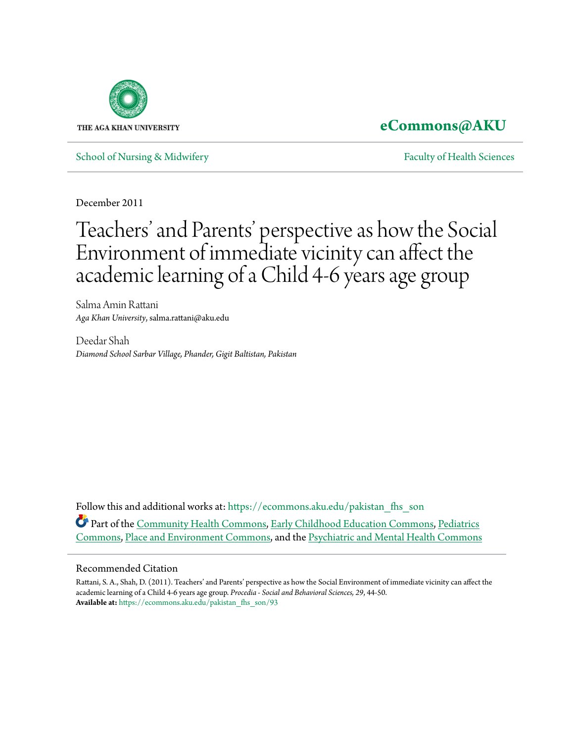

# **[eCommons@AKU](https://ecommons.aku.edu?utm_source=ecommons.aku.edu%2Fpakistan_fhs_son%2F93&utm_medium=PDF&utm_campaign=PDFCoverPages)**

[School of Nursing & Midwifery](https://ecommons.aku.edu/pakistan_fhs_son?utm_source=ecommons.aku.edu%2Fpakistan_fhs_son%2F93&utm_medium=PDF&utm_campaign=PDFCoverPages) **[Faculty of Health Sciences](https://ecommons.aku.edu/pakistan_fhs?utm_source=ecommons.aku.edu%2Fpakistan_fhs_son%2F93&utm_medium=PDF&utm_campaign=PDFCoverPages)** Faculty of Health Sciences

December 2011

# Teachers' and Parents' perspective as how the Social Environment of immediate vicinity can affect the academic learning of a Child 4-6 years age group

Salma Amin Rattani *Aga Khan University*, salma.rattani@aku.edu

Deedar Shah *Diamond School Sarbar Village, Phander, Gigit Baltistan, Pakistan*

Follow this and additional works at: [https://ecommons.aku.edu/pakistan\\_fhs\\_son](https://ecommons.aku.edu/pakistan_fhs_son?utm_source=ecommons.aku.edu%2Fpakistan_fhs_son%2F93&utm_medium=PDF&utm_campaign=PDFCoverPages) Part of the [Community Health Commons](http://network.bepress.com/hgg/discipline/714?utm_source=ecommons.aku.edu%2Fpakistan_fhs_son%2F93&utm_medium=PDF&utm_campaign=PDFCoverPages), [Early Childhood Education Commons,](http://network.bepress.com/hgg/discipline/1377?utm_source=ecommons.aku.edu%2Fpakistan_fhs_son%2F93&utm_medium=PDF&utm_campaign=PDFCoverPages) [Pediatrics](http://network.bepress.com/hgg/discipline/700?utm_source=ecommons.aku.edu%2Fpakistan_fhs_son%2F93&utm_medium=PDF&utm_campaign=PDFCoverPages) [Commons,](http://network.bepress.com/hgg/discipline/700?utm_source=ecommons.aku.edu%2Fpakistan_fhs_son%2F93&utm_medium=PDF&utm_campaign=PDFCoverPages) [Place and Environment Commons](http://network.bepress.com/hgg/discipline/424?utm_source=ecommons.aku.edu%2Fpakistan_fhs_son%2F93&utm_medium=PDF&utm_campaign=PDFCoverPages), and the [Psychiatric and Mental Health Commons](http://network.bepress.com/hgg/discipline/711?utm_source=ecommons.aku.edu%2Fpakistan_fhs_son%2F93&utm_medium=PDF&utm_campaign=PDFCoverPages)

# Recommended Citation

Rattani, S. A., Shah, D. (2011). Teachers' and Parents' perspective as how the Social Environment of immediate vicinity can affect the academic learning of a Child 4-6 years age group. *Procedia - Social and Behavioral Sciences, 29*, 44-50. **Available at:** [https://ecommons.aku.edu/pakistan\\_fhs\\_son/93](https://ecommons.aku.edu/pakistan_fhs_son/93)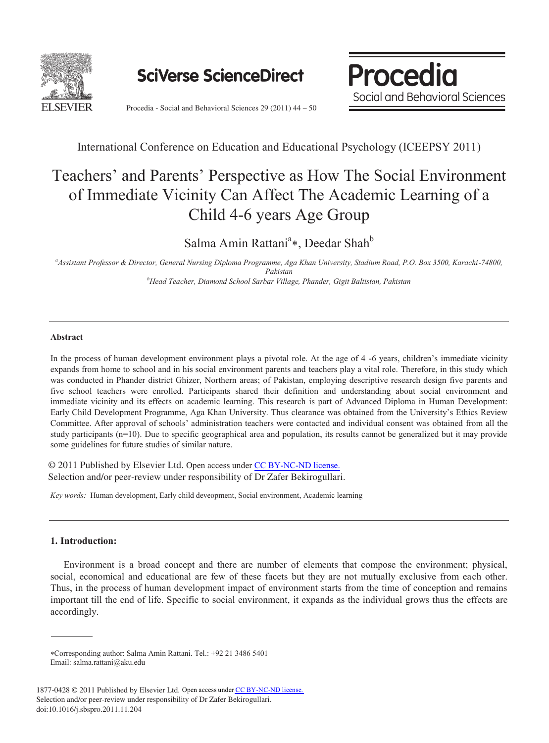





Procedia - Social and Behavioral Sciences 29 (2011) 44 – 50

International Conference on Education and Educational Psychology (ICEEPSY 2011)

# Teachers' and Parents' Perspective as How The Social Environment of Immediate Vicinity Can Affect The Academic Learning of a Child 4-6 years Age Group

Salma Amin Rattani<sup>a</sup>\*, Deedar Shah<sup>b</sup>

*a Assistant Professor & Director, General Nursing Diploma Programme, Aga Khan University, Stadium Road, P.O. Box 3500, Karachi-74800, Pakistan b Head Teacher, Diamond School Sarbar Village, Phander, Gigit Baltistan, Pakistan* 

#### **Abstract**

In the process of human development environment plays a pivotal role. At the age of 4 -6 years, children's immediate vicinity expands from home to school and in his social environment parents and teachers play a vital role. Therefore, in this study which was conducted in Phander district Ghizer, Northern areas; of Pakistan, employing descriptive research design five parents and five school teachers were enrolled. Participants shared their definition and understanding about social environment and immediate vicinity and its effects on academic learning. This research is part of Advanced Diploma in Human Development: Early Child Development Programme, Aga Khan University. Thus clearance was obtained from the University's Ethics Review Committee. After approval of schools' administration teachers were contacted and individual consent was obtained from all the study participants (n=10). Due to specific geographical area and population, its results cannot be generalized but it may provide some guidelines for future studies of similar nature.

Selection and/or peer-review under responsibility of Dr Zafer Bekirogullari. © 2011 Published by Elsevier Ltd. Open access under [CC BY-NC-ND license.](http://creativecommons.org/licenses/by-nc-nd/3.0/)

*Key words:*Human development, Early child deveopment, Social environment, Academic learning

# **1. Introduction:**

Environment is a broad concept and there are number of elements that compose the environment; physical, social, economical and educational are few of these facets but they are not mutually exclusive from each other. Thus, in the process of human development impact of environment starts from the time of conception and remains important till the end of life. Specific to social environment, it expands as the individual grows thus the effects are accordingly.

Corresponding author: Salma Amin Rattani. Tel.: +92 21 3486 5401 Email: salma.rattani@aku.edu

<sup>1877-0428 © 2011</sup> Published by Elsevier Ltd. Open access under [CC BY-NC-ND license.](http://creativecommons.org/licenses/by-nc-nd/3.0/)Selection and/or peer-review under responsibility of Dr Zafer Bekirogullari. doi: 10.1016/j.sbspro.2011.11.204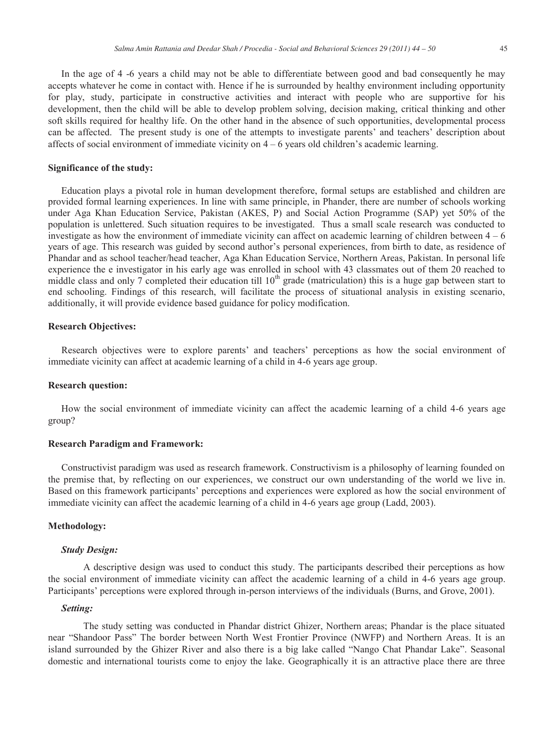In the age of 4 -6 years a child may not be able to differentiate between good and bad consequently he may accepts whatever he come in contact with. Hence if he is surrounded by healthy environment including opportunity for play, study, participate in constructive activities and interact with people who are supportive for his development, then the child will be able to develop problem solving, decision making, critical thinking and other soft skills required for healthy life. On the other hand in the absence of such opportunities, developmental process can be affected. The present study is one of the attempts to investigate parents' and teachers' description about affects of social environment of immediate vicinity on  $4 - 6$  years old children's academic learning.

#### **Significance of the study:**

Education plays a pivotal role in human development therefore, formal setups are established and children are provided formal learning experiences. In line with same principle, in Phander, there are number of schools working under Aga Khan Education Service, Pakistan (AKES, P) and Social Action Programme (SAP) yet 50% of the population is unlettered. Such situation requires to be investigated. Thus a small scale research was conducted to investigate as how the environment of immediate vicinity can affect on academic learning of children between 4 – 6 years of age. This research was guided by second author's personal experiences, from birth to date, as residence of Phandar and as school teacher/head teacher, Aga Khan Education Service, Northern Areas, Pakistan. In personal life experience the e investigator in his early age was enrolled in school with 43 classmates out of them 20 reached to middle class and only 7 completed their education till  $10<sup>th</sup>$  grade (matriculation) this is a huge gap between start to end schooling. Findings of this research, will facilitate the process of situational analysis in existing scenario, additionally, it will provide evidence based guidance for policy modification.

#### **Research Objectives:**

Research objectives were to explore parents' and teachers' perceptions as how the social environment of immediate vicinity can affect at academic learning of a child in 4-6 years age group.

#### **Research question:**

How the social environment of immediate vicinity can affect the academic learning of a child 4-6 years age group?

#### **Research Paradigm and Framework:**

Constructivist paradigm was used as research framework. Constructivism is a philosophy of learning founded on the premise that, by reflecting on our experiences, we construct our own understanding of the world we live in. Based on this framework participants' perceptions and experiences were explored as how the social environment of immediate vicinity can affect the academic learning of a child in 4-6 years age group (Ladd, 2003).

#### **Methodology:**

#### *Study Design:*

A descriptive design was used to conduct this study. The participants described their perceptions as how the social environment of immediate vicinity can affect the academic learning of a child in 4-6 years age group. Participants' perceptions were explored through in-person interviews of the individuals (Burns, and Grove, 2001).

#### *Setting:*

The study setting was conducted in Phandar district Ghizer, Northern areas; Phandar is the place situated near "Shandoor Pass" The border between North West Frontier Province (NWFP) and Northern Areas. It is an island surrounded by the Ghizer River and also there is a big lake called "Nango Chat Phandar Lake". Seasonal domestic and international tourists come to enjoy the lake. Geographically it is an attractive place there are three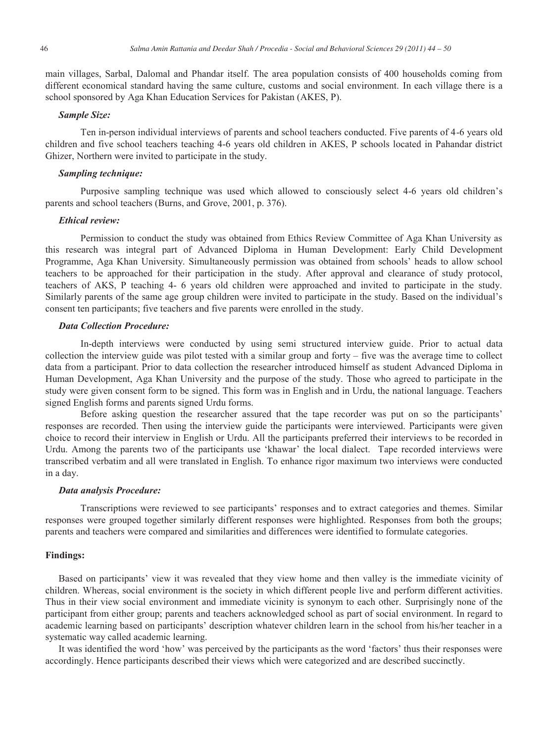main villages, Sarbal, Dalomal and Phandar itself. The area population consists of 400 households coming from different economical standard having the same culture, customs and social environment. In each village there is a school sponsored by Aga Khan Education Services for Pakistan (AKES, P).

#### *Sample Size:*

Ten in-person individual interviews of parents and school teachers conducted. Five parents of 4-6 years old children and five school teachers teaching 4-6 years old children in AKES, P schools located in Pahandar district Ghizer, Northern were invited to participate in the study.

#### *Sampling technique:*

Purposive sampling technique was used which allowed to consciously select 4-6 years old children's parents and school teachers (Burns, and Grove, 2001, p. 376).

#### *Ethical review:*

Permission to conduct the study was obtained from Ethics Review Committee of Aga Khan University as this research was integral part of Advanced Diploma in Human Development: Early Child Development Programme, Aga Khan University. Simultaneously permission was obtained from schools' heads to allow school teachers to be approached for their participation in the study. After approval and clearance of study protocol, teachers of AKS, P teaching 4- 6 years old children were approached and invited to participate in the study. Similarly parents of the same age group children were invited to participate in the study. Based on the individual's consent ten participants; five teachers and five parents were enrolled in the study.

### *Data Collection Procedure:*

 In-depth interviews were conducted by using semi structured interview guide. Prior to actual data collection the interview guide was pilot tested with a similar group and forty – five was the average time to collect data from a participant. Prior to data collection the researcher introduced himself as student Advanced Diploma in Human Development, Aga Khan University and the purpose of the study. Those who agreed to participate in the study were given consent form to be signed. This form was in English and in Urdu, the national language. Teachers signed English forms and parents signed Urdu forms.

 Before asking question the researcher assured that the tape recorder was put on so the participants' responses are recorded. Then using the interview guide the participants were interviewed. Participants were given choice to record their interview in English or Urdu. All the participants preferred their interviews to be recorded in Urdu. Among the parents two of the participants use 'khawar' the local dialect. Tape recorded interviews were transcribed verbatim and all were translated in English. To enhance rigor maximum two interviews were conducted in a day.

#### *Data analysis Procedure:*

 Transcriptions were reviewed to see participants' responses and to extract categories and themes. Similar responses were grouped together similarly different responses were highlighted. Responses from both the groups; parents and teachers were compared and similarities and differences were identified to formulate categories.

#### **Findings:**

Based on participants' view it was revealed that they view home and then valley is the immediate vicinity of children. Whereas, social environment is the society in which different people live and perform different activities. Thus in their view social environment and immediate vicinity is synonym to each other. Surprisingly none of the participant from either group; parents and teachers acknowledged school as part of social environment. In regard to academic learning based on participants' description whatever children learn in the school from his/her teacher in a systematic way called academic learning.

It was identified the word 'how' was perceived by the participants as the word 'factors' thus their responses were accordingly. Hence participants described their views which were categorized and are described succinctly.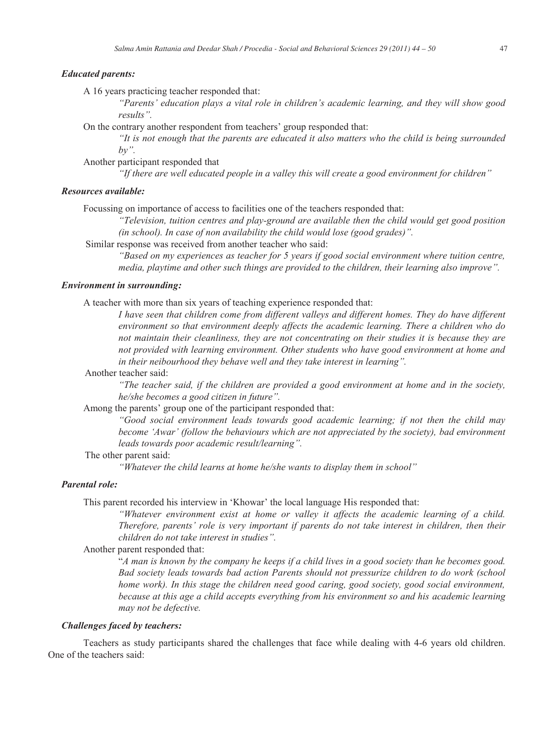#### *Educated parents:*

A 16 years practicing teacher responded that:

*"Parents' education plays a vital role in children's academic learning, and they will show good results".* 

On the contrary another respondent from teachers' group responded that:

*"It is not enough that the parents are educated it also matters who the child is being surrounded by".* 

Another participant responded that

 *"If there are well educated people in a valley this will create a good environment for children"*

## *Resources available:*

Focussing on importance of access to facilities one of the teachers responded that:

*"Television, tuition centres and play-ground are available then the child would get good position (in school). In case of non availability the child would lose (good grades)".*

Similar response was received from another teacher who said:

*"Based on my experiences as teacher for 5 years if good social environment where tuition centre, media, playtime and other such things are provided to the children, their learning also improve".*

#### *Environment in surrounding:*

A teacher with more than six years of teaching experience responded that:

*I have seen that children come from different valleys and different homes. They do have different environment so that environment deeply affects the academic learning. There a children who do not maintain their cleanliness, they are not concentrating on their studies it is because they are not provided with learning environment. Other students who have good environment at home and in their neibourhood they behave well and they take interest in learning".* 

#### Another teacher said:

 *"The teacher said, if the children are provided a good environment at home and in the society, he/she becomes a good citizen in future".*

Among the parents' group one of the participant responded that:

 *"Good social environment leads towards good academic learning; if not then the child may become 'Awar' (follow the behaviours which are not appreciated by the society), bad environment leads towards poor academic result/learning".* 

#### The other parent said:

 *"Whatever the child learns at home he/she wants to display them in school"*

#### *Parental role:*

This parent recorded his interview in 'Khowar' the local language His responded that:

*"Whatever environment exist at home or valley it affects the academic learning of a child. Therefore, parents' role is very important if parents do not take interest in children, then their children do not take interest in studies".* 

# Another parent responded that:

"*A man is known by the company he keeps if a child lives in a good society than he becomes good. Bad society leads towards bad action Parents should not pressurize children to do work (school home work). In this stage the children need good caring, good society, good social environment, because at this age a child accepts everything from his environment so and his academic learning may not be defective.* 

#### *Challenges faced by teachers:*

Teachers as study participants shared the challenges that face while dealing with 4-6 years old children. One of the teachers said: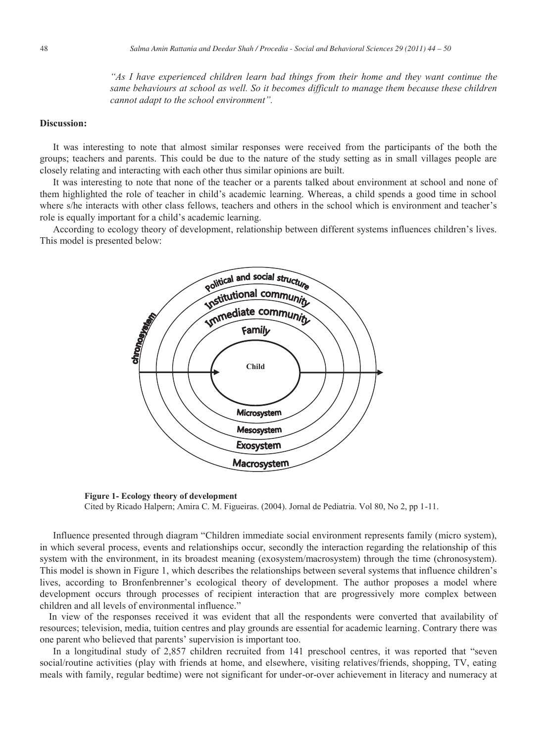*"As I have experienced children learn bad things from their home and they want continue the same behaviours at school as well. So it becomes difficult to manage them because these children cannot adapt to the school environment".* 

#### **Discussion:**

It was interesting to note that almost similar responses were received from the participants of the both the groups; teachers and parents. This could be due to the nature of the study setting as in small villages people are closely relating and interacting with each other thus similar opinions are built.

It was interesting to note that none of the teacher or a parents talked about environment at school and none of them highlighted the role of teacher in child's academic learning. Whereas, a child spends a good time in school where s/he interacts with other class fellows, teachers and others in the school which is environment and teacher's role is equally important for a child's academic learning.

According to ecology theory of development, relationship between different systems influences children's lives. This model is presented below:



**Figure 1- Ecology theory of development** Cited by Ricado Halpern; Amira C. M. Figueiras. (2004). Jornal de Pediatria. Vol 80, No 2, pp 1-11.

Influence presented through diagram "Children immediate social environment represents family (micro system), in which several process, events and relationships occur, secondly the interaction regarding the relationship of this system with the environment, in its broadest meaning (exosystem/macrosystem) through the time (chronosystem). This model is shown in Figure 1, which describes the relationships between several systems that influence children's lives, according to Bronfenbrenner's ecological theory of development. The author proposes a model where development occurs through processes of recipient interaction that are progressively more complex between children and all levels of environmental influence."

 In view of the responses received it was evident that all the respondents were converted that availability of resources; television, media, tuition centres and play grounds are essential for academic learning. Contrary there was one parent who believed that parents' supervision is important too.

In a longitudinal study of 2,857 children recruited from 141 preschool centres, it was reported that "seven social/routine activities (play with friends at home, and elsewhere, visiting relatives/friends, shopping, TV, eating meals with family, regular bedtime) were not significant for under-or-over achievement in literacy and numeracy at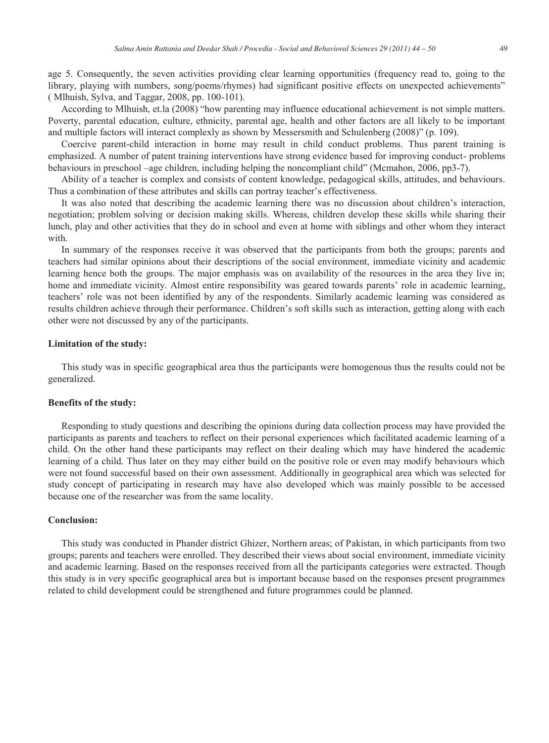age 5. Consequently, the seven activities providing clear learning opportunities (frequency read to, going to the library, playing with numbers, song/poems/rhymes) had significant positive effects on unexpected achievements" ( Mlhuish, Sylva, and Taggar, 2008, pp. 100-101).

According to Mlhuish, et.la (2008) "how parenting may influence educational achievement is not simple matters. Poverty, parental education, culture, ethnicity, parental age, health and other factors are all likely to be important and multiple factors will interact complexly as shown by Messersmith and Schulenberg (2008)" (p. 109).

Coercive parent-child interaction in home may result in child conduct problems. Thus parent training is emphasized. A number of patent training interventions have strong evidence based for improving conduct- problems behaviours in preschool –age children, including helping the noncompliant child" (Mcmahon, 2006, pp3-7).

Ability of a teacher is complex and consists of content knowledge, pedagogical skills, attitudes, and behaviours. Thus a combination of these attributes and skills can portray teacher's effectiveness.

It was also noted that describing the academic learning there was no discussion about children's interaction, negotiation; problem solving or decision making skills. Whereas, children develop these skills while sharing their lunch, play and other activities that they do in school and even at home with siblings and other whom they interact with.

In summary of the responses receive it was observed that the participants from both the groups; parents and teachers had similar opinions about their descriptions of the social environment, immediate vicinity and academic learning hence both the groups. The major emphasis was on availability of the resources in the area they live in; home and immediate vicinity. Almost entire responsibility was geared towards parents' role in academic learning, teachers' role was not been identified by any of the respondents. Similarly academic learning was considered as results children achieve through their performance. Children's soft skills such as interaction, getting along with each other were not discussed by any of the participants.

#### **Limitation of the study:**

This study was in specific geographical area thus the participants were homogenous thus the results could not be generalized.

#### **Benefits of the study:**

Responding to study questions and describing the opinions during data collection process may have provided the participants as parents and teachers to reflect on their personal experiences which facilitated academic learning of a child. On the other hand these participants may reflect on their dealing which may have hindered the academic learning of a child. Thus later on they may either build on the positive role or even may modify behaviours which were not found successful based on their own assessment. Additionally in geographical area which was selected for study concept of participating in research may have also developed which was mainly possible to be accessed because one of the researcher was from the same locality.

#### **Conclusion:**

This study was conducted in Phander district Ghizer, Northern areas; of Pakistan, in which participants from two groups; parents and teachers were enrolled. They described their views about social environment, immediate vicinity and academic learning. Based on the responses received from all the participants categories were extracted. Though this study is in very specific geographical area but is important because based on the responses present programmes related to child development could be strengthened and future programmes could be planned.